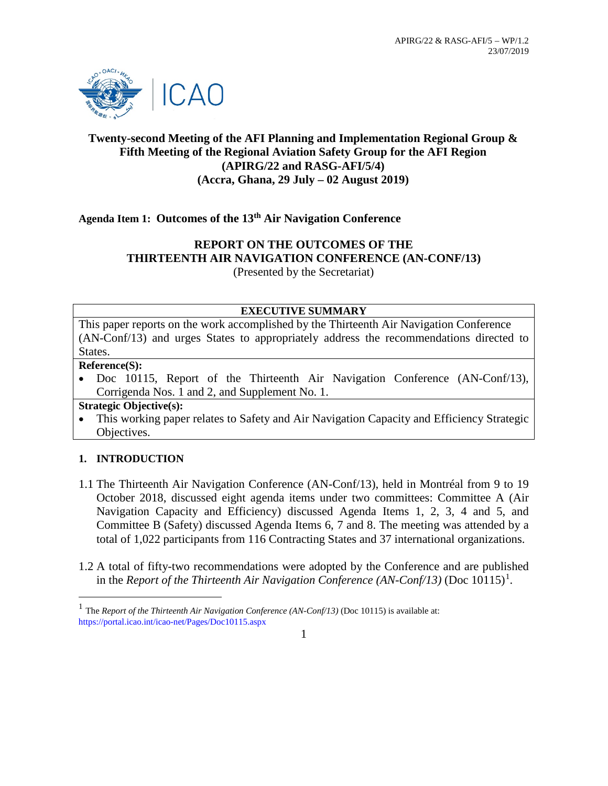

## **Twenty-second Meeting of the AFI Planning and Implementation Regional Group & Fifth Meeting of the Regional Aviation Safety Group for the AFI Region (APIRG/22 and RASG-AFI/5/4) (Accra, Ghana, 29 July – 02 August 2019)**

**Agenda Item 1: Outcomes of the 13th Air Navigation Conference**

## **REPORT ON THE OUTCOMES OF THE THIRTEENTH AIR NAVIGATION CONFERENCE (AN-CONF/13)** (Presented by the Secretariat)

#### **EXECUTIVE SUMMARY**

This paper reports on the work accomplished by the Thirteenth Air Navigation Conference (AN-Conf/13) and urges States to appropriately address the recommendations directed to States.

#### **Reference(S):**

Doc 10115, Report of the Thirteenth Air Navigation Conference (AN-Conf/13), Corrigenda Nos. 1 and 2, and Supplement No. 1.

**Strategic Objective(s):**

• This working paper relates to Safety and Air Navigation Capacity and Efficiency Strategic Objectives.

## **1. INTRODUCTION**

- 1.1 The Thirteenth Air Navigation Conference (AN-Conf/13), held in Montréal from 9 to 19 October 2018, discussed eight agenda items under two committees: Committee A (Air Navigation Capacity and Efficiency) discussed Agenda Items 1, 2, 3, 4 and 5, and Committee B (Safety) discussed Agenda Items 6, 7 and 8. The meeting was attended by a total of 1,022 participants from 116 Contracting States and 37 international organizations.
- 1.2 A total of fifty-two recommendations were adopted by the Conference and are published in the *Report of the Thirteenth Air Navigation Conference (AN-Conf/[1](#page-0-0)3)* (Doc 10115)<sup>1</sup>.

1

<span id="page-0-0"></span><sup>&</sup>lt;sup>1</sup> The *Report of the Thirteenth Air Navigation Conference (AN-Conf/13)* (Doc 10115) is available at: https://portal.icao.int/icao-net/Pages/Doc10115.aspx